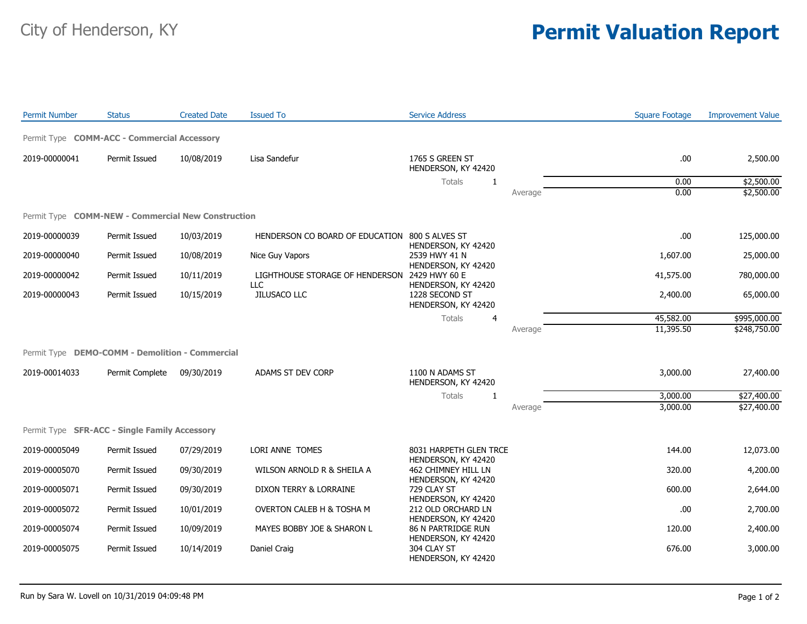## City of Henderson, KY **Permit Valuation Report**

| <b>Permit Number</b> | <b>Status</b>                                      | <b>Created Date</b> | <b>Issued To</b>                                     | <b>Service Address</b>                                    |         | <b>Square Footage</b> | <b>Improvement Value</b> |
|----------------------|----------------------------------------------------|---------------------|------------------------------------------------------|-----------------------------------------------------------|---------|-----------------------|--------------------------|
|                      | Permit Type COMM-ACC - Commercial Accessory        |                     |                                                      |                                                           |         |                       |                          |
| 2019-00000041        | Permit Issued                                      | 10/08/2019          | Lisa Sandefur                                        | 1765 S GREEN ST<br>HENDERSON, KY 42420                    |         | .00                   | 2,500.00                 |
|                      |                                                    |                     |                                                      | <b>Totals</b><br>1                                        |         | 0.00                  | \$2,500.00               |
|                      |                                                    |                     |                                                      |                                                           | Average | 0.00                  | \$2,500.00               |
|                      | Permit Type COMM-NEW - Commercial New Construction |                     |                                                      |                                                           |         |                       |                          |
| 2019-00000039        | Permit Issued                                      | 10/03/2019          | HENDERSON CO BOARD OF EDUCATION 800 S ALVES ST       | HENDERSON, KY 42420                                       |         | .00                   | 125,000.00               |
| 2019-00000040        | Permit Issued                                      | 10/08/2019          | Nice Guy Vapors                                      | 2539 HWY 41 N<br>HENDERSON, KY 42420                      |         | 1,607.00              | 25,000.00                |
| 2019-00000042        | Permit Issued                                      | 10/11/2019          | LIGHTHOUSE STORAGE OF HENDERSON 2429 HWY 60 E<br>LLC | HENDERSON, KY 42420                                       |         | 41,575.00             | 780,000.00               |
| 2019-00000043        | Permit Issued                                      | 10/15/2019          | JILUSACO LLC                                         | 1228 SECOND ST<br>HENDERSON, KY 42420                     |         | 2,400.00              | 65,000.00                |
|                      |                                                    |                     |                                                      | <b>Totals</b><br>$\overline{4}$                           |         | 45,582.00             | \$995,000.00             |
|                      |                                                    |                     |                                                      |                                                           | Average | 11,395.50             | \$248,750.00             |
|                      | Permit Type DEMO-COMM - Demolition - Commercial    |                     |                                                      |                                                           |         |                       |                          |
| 2019-00014033        | Permit Complete                                    | 09/30/2019          | ADAMS ST DEV CORP                                    | 1100 N ADAMS ST<br>HENDERSON, KY 42420                    |         | 3,000.00              | 27,400.00                |
|                      |                                                    |                     |                                                      | Totals<br>$\mathbf{1}$                                    |         | 3,000.00              | \$27,400.00              |
|                      |                                                    |                     |                                                      |                                                           | Average | 3,000.00              | \$27,400.00              |
|                      | Permit Type SFR-ACC - Single Family Accessory      |                     |                                                      |                                                           |         |                       |                          |
| 2019-00005049        | Permit Issued                                      | 07/29/2019          | LORI ANNE TOMES                                      | 8031 HARPETH GLEN TRCE                                    |         | 144.00                | 12,073.00                |
| 2019-00005070        | Permit Issued                                      | 09/30/2019          | WILSON ARNOLD R & SHEILA A                           | HENDERSON, KY 42420<br>462 CHIMNEY HILL LN                |         | 320.00                | 4,200.00                 |
| 2019-00005071        | Permit Issued                                      | 09/30/2019          | DIXON TERRY & LORRAINE                               | HENDERSON, KY 42420<br>729 CLAY ST<br>HENDERSON, KY 42420 |         | 600.00                | 2,644.00                 |
| 2019-00005072        | Permit Issued                                      | 10/01/2019          | OVERTON CALEB H & TOSHA M                            | 212 OLD ORCHARD LN<br>HENDERSON, KY 42420                 |         | .00                   | 2,700.00                 |
| 2019-00005074        | Permit Issued                                      | 10/09/2019          | MAYES BOBBY JOE & SHARON L                           | 86 N PARTRIDGE RUN<br>HENDERSON, KY 42420                 |         | 120.00                | 2,400.00                 |
| 2019-00005075        | Permit Issued                                      | 10/14/2019          | Daniel Craig                                         | 304 CLAY ST<br>HENDERSON, KY 42420                        |         | 676.00                | 3,000.00                 |